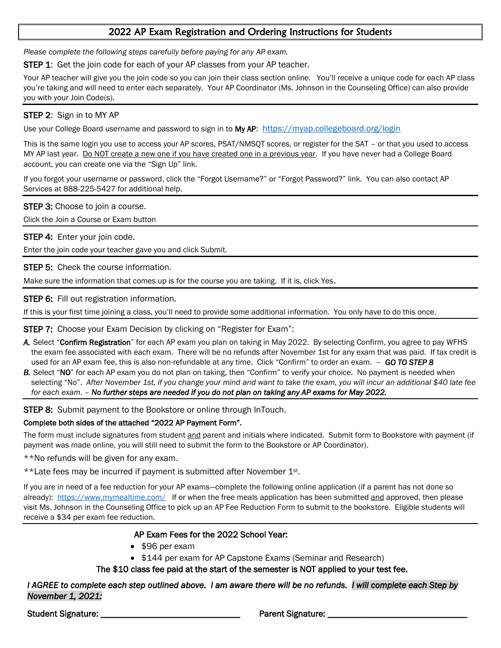## 2022 AP Exam Registration and Ordering Instructions for Students

*Please complete the following steps carefully before paying for any AP exam.*

STEP 1: Get the join code for each of your AP classes from your AP teacher.

Your AP teacher will give you the join code so you can join their class section online. You'll receive a unique code for each AP class you're taking and will need to enter each separately. Your AP Coordinator (Ms. Johnson in the Counseling Office) can also provide you with your Join Code(s).

## STEP 2: Sign in to MY AP

Use your College Board username and password to sign in to My AP:<https://myap.collegeboard.org/login>

This is the same login you use to access your AP scores, PSAT/NMSQT scores, or register for the SAT – or that you used to access MY AP last year. Do NOT create a new one if you have created one in a previous year. If you have never had a College Board account, you can create one via the "Sign Up" link.

If you forgot your username or password, click the "Forgot Username?" or "Forgot Password?" link. You can also contact AP Services at 888-225-5427 for additional help.

**STEP 3:** Choose to join a course.

Click the Join a Course or Exam button

**STEP 4: Enter your join code.** 

Enter the join code your teacher gave you and click Submit.

**STEP 5: Check the course information.** 

Make sure the information that comes up is for the course you are taking. If it is, click Yes.

STEP 6: Fill out registration information.

If this is your first time joining a class, you'll need to provide some additional information. You only have to do this once.

STEP 7: Choose your Exam Decision by clicking on "Register for Exam":

- *A.* Select "Confirm Registration" for each AP exam you plan on taking in May 2022. By selecting Confirm, you agree to pay WFHS the exam fee associated with each exam. There will be no refunds after November 1st for any exam that was paid. If tax credit is used for an AP exam fee, this is also non-refundable at any time. Click "Confirm" to order an exam. – *GO TO STEP 8*
- *B.* Select "NO" for each AP exam you do not plan on taking, then "Confirm" to verify your choice. No payment is needed when selecting "No". *After November 1st, if you change your mind and want to take the exam, you will incur an additional \$40 late fee for each exam*. – *No further steps are needed if you do not plan on taking any AP exams for May 2022.*

**STEP 8:** Submit payment to the Bookstore or online through InTouch.

## Complete both sides of the attached "2022 AP Payment Form".

The form must include signatures from student and parent and initials where indicated. Submit form to Bookstore with payment (if payment was made online, you will still need to submit the form to the Bookstore or AP Coordinator).

\*\*No refunds will be given for any exam.

\*\*Late fees may be incurred if payment is submitted after November 1st.

If you are in need of a fee reduction for your AP exams—complete the following online application (if a parent has not done so already): <https://www.mymealtime.com/> If or when the free meals application has been submitted and approved, then please visit Ms. Johnson in the Counseling Office to pick up an AP Fee Reduction Form to submit to the bookstore. Eligible students will receive a \$34 per exam fee reduction.

## AP Exam Fees for the 2022 School Year:

- \$96 per exam
- \$144 per exam for AP Capstone Exams (Seminar and Research)

The \$10 class fee paid at the start of the semester is NOT applied to your test fee.

*I AGREE to complete each step outlined above. I am aware there will be no refunds. I will complete each Step by November 1, 2021:* 

Student Signature: \_\_\_\_\_\_\_\_\_\_\_\_\_\_\_\_\_\_\_\_\_\_\_\_\_\_\_\_\_\_\_ Parent Signature: \_\_\_\_\_\_\_\_\_\_\_\_\_\_\_\_\_\_\_\_\_\_\_\_\_\_\_\_\_\_\_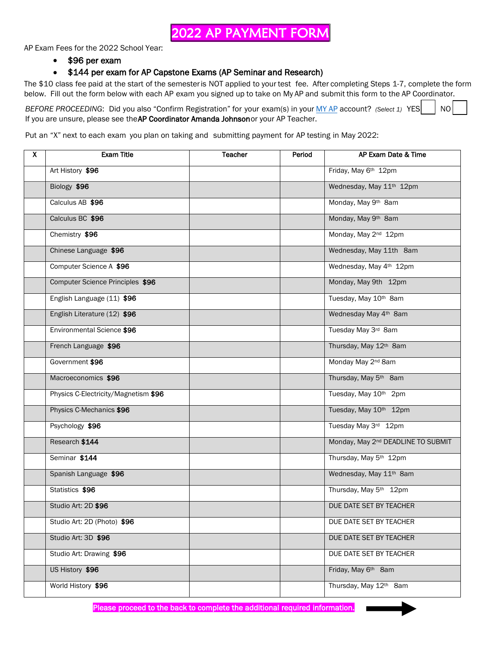# 2022 AP PAYMENT FORM

AP Exam Fees for the 2022 School Year:

• \$96 per exam

### • \$144 per exam for AP Capstone Exams (AP Seminar and Research)

The \$10 class fee paid at the start of the semester is NOT applied to your test fee. After completing Steps 1-7, complete the form below. Fill out the form below with each AP exam you signed up to take on My AP and submit this form to the AP Coordinator.

*BEFORE PROCEEDING*: Did you also "Confirm Registration" for your exam(s) in your [MY AP](https://myap.collegeboard.org/login) account? *(Select 1)* YES | NO If you are unsure, please see the AP Coordinator Amanda Johnson or your AP Teacher.

Put an "X" next to each exam you plan on taking and submitting payment for AP testing in May 2022:

| X | <b>Exam Title</b>                    | <b>Teacher</b> | Period | AP Exam Date & Time                            |
|---|--------------------------------------|----------------|--------|------------------------------------------------|
|   | Art History \$96                     |                |        | Friday, May 6th 12pm                           |
|   | Biology \$96                         |                |        | Wednesday, May 11th 12pm                       |
|   | Calculus AB \$96                     |                |        | Monday, May 9th 8am                            |
|   | Calculus BC \$96                     |                |        | Monday, May 9th 8am                            |
|   | Chemistry \$96                       |                |        | Monday, May 2 <sup>nd</sup> 12pm               |
|   | Chinese Language \$96                |                |        | Wednesday, May 11th 8am                        |
|   | Computer Science A \$96              |                |        | Wednesday, May 4th 12pm                        |
|   | Computer Science Principles \$96     |                |        | Monday, May 9th 12pm                           |
|   | English Language (11) \$96           |                |        | Tuesday, May 10th 8am                          |
|   | English Literature (12) \$96         |                |        | Wednesday May 4th 8am                          |
|   | Environmental Science \$96           |                |        | Tuesday May 3rd 8am                            |
|   | French Language \$96                 |                |        | Thursday, May 12th 8am                         |
|   | Government \$96                      |                |        | Monday May 2 <sup>nd</sup> 8am                 |
|   | Macroeconomics \$96                  |                |        | Thursday, May 5th 8am                          |
|   | Physics C-Electricity/Magnetism \$96 |                |        | Tuesday, May 10th 2pm                          |
|   | Physics C-Mechanics \$96             |                |        | Tuesday, May 10th 12pm                         |
|   | Psychology \$96                      |                |        | Tuesday May 3rd 12pm                           |
|   | Research \$144                       |                |        | Monday, May 2 <sup>nd</sup> DEADLINE TO SUBMIT |
|   | Seminar \$144                        |                |        | Thursday, May 5 <sup>th</sup> 12pm             |
|   | Spanish Language \$96                |                |        | Wednesday, May 11th 8am                        |
|   | Statistics \$96                      |                |        | Thursday, May 5th 12pm                         |
|   | Studio Art: 2D \$96                  |                |        | DUE DATE SET BY TEACHER                        |
|   | Studio Art: 2D (Photo) \$96          |                |        | DUE DATE SET BY TEACHER                        |
|   | Studio Art: 3D \$96                  |                |        | DUE DATE SET BY TEACHER                        |
|   | Studio Art: Drawing \$96             |                |        | DUE DATE SET BY TEACHER                        |
|   | US History \$96                      |                |        | Friday, May 6th 8am                            |
|   | World History \$96                   |                |        | Thursday, May 12th 8am                         |

Please proceed to the back to complete the additional required information.